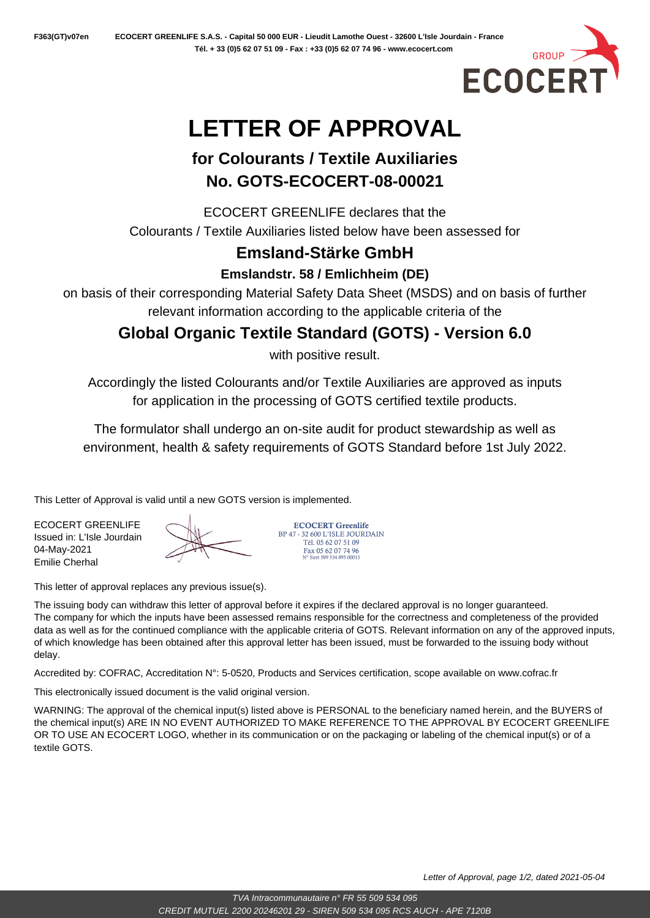

# **LETTER OF APPROVAL**

## **for Colourants / Textile Auxiliaries No. GOTS-ECOCERT-08-00021**

ECOCERT GREENLIFE declares that the Colourants / Textile Auxiliaries listed below have been assessed for

## **Emsland-Stärke GmbH**

**Emslandstr. 58 / Emlichheim (DE)**

on basis of their corresponding Material Safety Data Sheet (MSDS) and on basis of further relevant information according to the applicable criteria of the

**Global Organic Textile Standard (GOTS) - Version 6.0**

with positive result.

Accordingly the listed Colourants and/or Textile Auxiliaries are approved as inputs for application in the processing of GOTS certified textile products.

The formulator shall undergo an on-site audit for product stewardship as well as environment, health & safety requirements of GOTS Standard before 1st July 2022.

This Letter of Approval is valid until a new GOTS version is implemented.

ECOCERT GREENLIFE Issued in: L'Isle Jourdain 04-May-2021 Emilie Cherhal

BP 47 - 32 600 L'ISLE JOURDAIN Tél. 05 62 07 51 09 Fax 05 62 07 74 96<br>N° Siret 509 534 095 00013

**ECOCERT Greenlife** 

This letter of approval replaces any previous issue(s).

The issuing body can withdraw this letter of approval before it expires if the declared approval is no longer guaranteed. The company for which the inputs have been assessed remains responsible for the correctness and completeness of the provided data as well as for the continued compliance with the applicable criteria of GOTS. Relevant information on any of the approved inputs, of which knowledge has been obtained after this approval letter has been issued, must be forwarded to the issuing body without

delay.

Accredited by: COFRAC, Accreditation N°: 5-0520, Products and Services certification, scope available on www.cofrac.fr

This electronically issued document is the valid original version.

WARNING: The approval of the chemical input(s) listed above is PERSONAL to the beneficiary named herein, and the BUYERS of the chemical input(s) ARE IN NO EVENT AUTHORIZED TO MAKE REFERENCE TO THE APPROVAL BY ECOCERT GREENLIFE OR TO USE AN ECOCERT LOGO, whether in its communication or on the packaging or labeling of the chemical input(s) or of a textile GOTS.

Letter of Approval, page 1/2, dated 2021-05-04